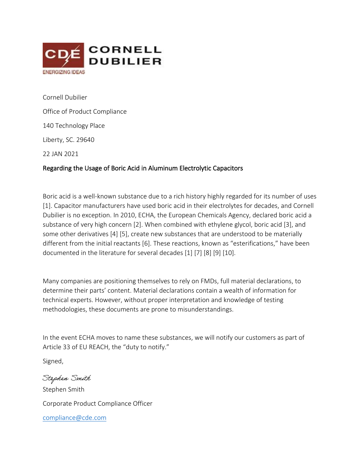

Cornell Dubilier Office of Product Compliance 140 Technology Place Liberty, SC. 29640 22 JAN 2021 Regarding the Usage of Boric Acid in Aluminum Electrolytic Capacitors

Boric acid is a well-known substance due to a rich history highly regarded for its number of uses [1]. Capacitor manufacturers have used boric acid in their electrolytes for decades, and Cornell Dubilier is no exception. In 2010, ECHA, the European Chemicals Agency, declared boric acid a substance of very high concern [2]. When combined with ethylene glycol, boric acid [3], and some other derivatives [4] [5], create new substances that are understood to be materially different from the initial reactants [6]. These reactions, known as "esterifications," have been documented in the literature for several decades [1] [7] [8] [9] [10].

Many companies are positioning themselves to rely on FMDs, full material declarations, to determine their parts' content. Material declarations contain a wealth of information for technical experts. However, without proper interpretation and knowledge of testing methodologies, these documents are prone to misunderstandings.

In the event ECHA moves to name these substances, we will notify our customers as part of Article 33 of EU REACH, the "duty to notify."

Signed,

Stephen Smith Stephen Smith Corporate Product Compliance Officer [compliance@cde.com](mailto:compliance@cde.com)